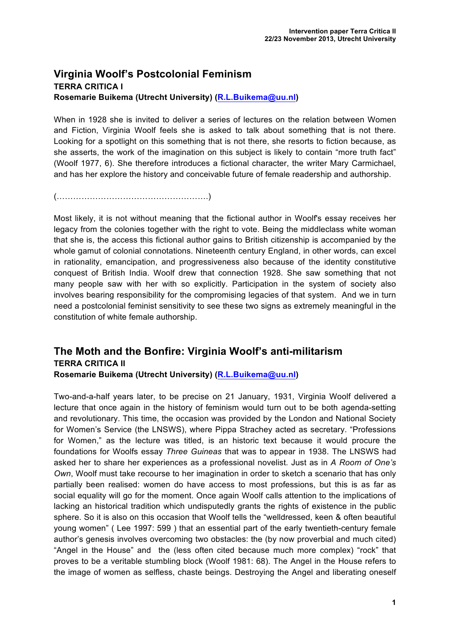## **Virginia Woolf's Postcolonial Feminism TERRA CRITICA I Rosemarie Buikema (Utrecht University) (R.L.Buikema@uu.nl)**

When in 1928 she is invited to deliver a series of lectures on the relation between Women and Fiction, Virginia Woolf feels she is asked to talk about something that is not there. Looking for a spotlight on this something that is not there, she resorts to fiction because, as she asserts, the work of the imagination on this subject is likely to contain "more truth fact" (Woolf 1977, 6). She therefore introduces a fictional character, the writer Mary Carmichael, and has her explore the history and conceivable future of female readership and authorship.

(……………………………………………….)

Most likely, it is not without meaning that the fictional author in Woolf's essay receives her legacy from the colonies together with the right to vote. Being the middleclass white woman that she is, the access this fictional author gains to British citizenship is accompanied by the whole gamut of colonial connotations. Nineteenth century England, in other words, can excel in rationality, emancipation, and progressiveness also because of the identity constitutive conquest of British India. Woolf drew that connection 1928. She saw something that not many people saw with her with so explicitly. Participation in the system of society also involves bearing responsibility for the compromising legacies of that system. And we in turn need a postcolonial feminist sensitivity to see these two signs as extremely meaningful in the constitution of white female authorship.

## **The Moth and the Bonfire: Virginia Woolf's anti-militarism TERRA CRITICA II**

**Rosemarie Buikema (Utrecht University) (R.L.Buikema@uu.nl)**

Two-and-a-half years later, to be precise on 21 January, 1931, Virginia Woolf delivered a lecture that once again in the history of feminism would turn out to be both agenda-setting and revolutionary. This time, the occasion was provided by the London and National Society for Women's Service (the LNSWS), where Pippa Strachey acted as secretary. "Professions for Women," as the lecture was titled, is an historic text because it would procure the foundations for Woolfs essay *Three Guineas* that was to appear in 1938. The LNSWS had asked her to share her experiences as a professional novelist. Just as in *A Room of One's Own*, Woolf must take recourse to her imagination in order to sketch a scenario that has only partially been realised: women do have access to most professions, but this is as far as social equality will go for the moment. Once again Woolf calls attention to the implications of lacking an historical tradition which undisputedly grants the rights of existence in the public sphere. So it is also on this occasion that Woolf tells the "welldressed, keen & often beautiful young women" ( Lee 1997: 599 ) that an essential part of the early twentieth-century female author's genesis involves overcoming two obstacles: the (by now proverbial and much cited) "Angel in the House" and the (less often cited because much more complex) "rock" that proves to be a veritable stumbling block (Woolf 1981: 68). The Angel in the House refers to the image of women as selfless, chaste beings. Destroying the Angel and liberating oneself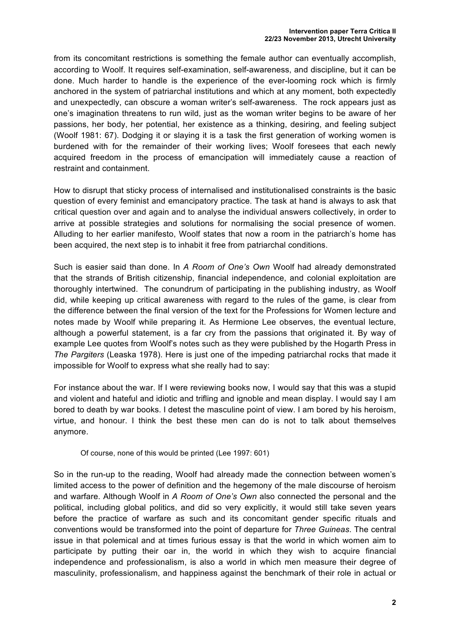from its concomitant restrictions is something the female author can eventually accomplish, according to Woolf. It requires self-examination, self-awareness, and discipline, but it can be done. Much harder to handle is the experience of the ever-looming rock which is firmly anchored in the system of patriarchal institutions and which at any moment, both expectedly and unexpectedly, can obscure a woman writer's self-awareness. The rock appears just as one's imagination threatens to run wild, just as the woman writer begins to be aware of her passions, her body, her potential, her existence as a thinking, desiring, and feeling subject (Woolf 1981: 67). Dodging it or slaying it is a task the first generation of working women is burdened with for the remainder of their working lives; Woolf foresees that each newly acquired freedom in the process of emancipation will immediately cause a reaction of restraint and containment.

How to disrupt that sticky process of internalised and institutionalised constraints is the basic question of every feminist and emancipatory practice. The task at hand is always to ask that critical question over and again and to analyse the individual answers collectively, in order to arrive at possible strategies and solutions for normalising the social presence of women. Alluding to her earlier manifesto, Woolf states that now a room in the patriarch's home has been acquired, the next step is to inhabit it free from patriarchal conditions.

Such is easier said than done. In *A Room of One's Own* Woolf had already demonstrated that the strands of British citizenship, financial independence, and colonial exploitation are thoroughly intertwined. The conundrum of participating in the publishing industry, as Woolf did, while keeping up critical awareness with regard to the rules of the game, is clear from the difference between the final version of the text for the Professions for Women lecture and notes made by Woolf while preparing it. As Hermione Lee observes, the eventual lecture, although a powerful statement, is a far cry from the passions that originated it. By way of example Lee quotes from Woolf's notes such as they were published by the Hogarth Press in *The Pargiters* (Leaska 1978). Here is just one of the impeding patriarchal rocks that made it impossible for Woolf to express what she really had to say:

For instance about the war. If I were reviewing books now, I would say that this was a stupid and violent and hateful and idiotic and trifling and ignoble and mean display. I would say I am bored to death by war books. I detest the masculine point of view. I am bored by his heroism, virtue, and honour. I think the best these men can do is not to talk about themselves anymore.

Of course, none of this would be printed (Lee 1997: 601)

So in the run-up to the reading, Woolf had already made the connection between women's limited access to the power of definition and the hegemony of the male discourse of heroism and warfare. Although Woolf in *A Room of One's Own* also connected the personal and the political, including global politics, and did so very explicitly, it would still take seven years before the practice of warfare as such and its concomitant gender specific rituals and conventions would be transformed into the point of departure for *Three Guineas*. The central issue in that polemical and at times furious essay is that the world in which women aim to participate by putting their oar in, the world in which they wish to acquire financial independence and professionalism, is also a world in which men measure their degree of masculinity, professionalism, and happiness against the benchmark of their role in actual or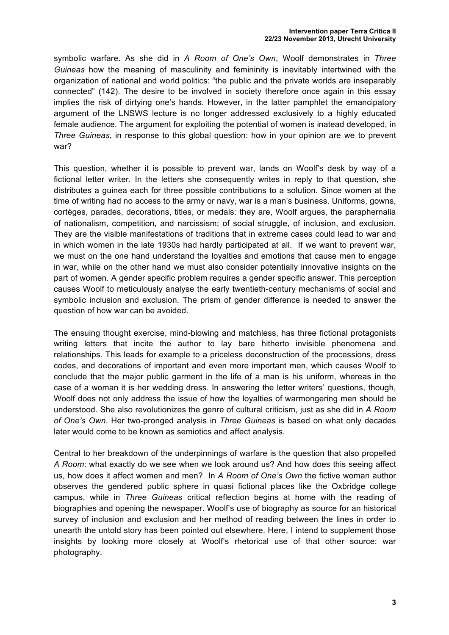symbolic warfare. As she did in *A Room of One's Own*, Woolf demonstrates in *Three Guineas* how the meaning of masculinity and femininity is inevitably intertwined with the organization of national and world politics: "the public and the private worlds are inseparably connected" (142). The desire to be involved in society therefore once again in this essay implies the risk of dirtying one's hands. However, in the latter pamphlet the emancipatory argument of the LNSWS lecture is no longer addressed exclusively to a highly educated female audience. The argument for exploiting the potential of women is inatead developed, in *Three Guineas*, in response to this global question: how in your opinion are we to prevent war?

This question, whether it is possible to prevent war, lands on Woolf's desk by way of a fictional letter writer. In the letters she consequently writes in reply to that question, she distributes a guinea each for three possible contributions to a solution. Since women at the time of writing had no access to the army or navy, war is a man's business. Uniforms, gowns, cortèges, parades, decorations, titles, or medals: they are, Woolf argues, the paraphernalia of nationalism, competition, and narcissism; of social struggle, of inclusion, and exclusion. They are the visible manifestations of traditions that in extreme cases could lead to war and in which women in the late 1930s had hardly participated at all. If we want to prevent war, we must on the one hand understand the loyalties and emotions that cause men to engage in war, while on the other hand we must also consider potentially innovative insights on the part of women. A gender specific problem requires a gender specific answer. This perception causes Woolf to meticulously analyse the early twentieth-century mechanisms of social and symbolic inclusion and exclusion. The prism of gender difference is needed to answer the question of how war can be avoided.

The ensuing thought exercise, mind-blowing and matchless, has three fictional protagonists writing letters that incite the author to lay bare hitherto invisible phenomena and relationships. This leads for example to a priceless deconstruction of the processions, dress codes, and decorations of important and even more important men, which causes Woolf to conclude that the major public garment in the life of a man is his uniform, whereas in the case of a woman it is her wedding dress. In answering the letter writers' questions, though, Woolf does not only address the issue of how the loyalties of warmongering men should be understood. She also revolutionizes the genre of cultural criticism, just as she did in *A Room of One's Own*. Her two-pronged analysis in *Three Guineas* is based on what only decades later would come to be known as semiotics and affect analysis.

Central to her breakdown of the underpinnings of warfare is the question that also propelled *A Room*: what exactly do we see when we look around us? And how does this seeing affect us, how does it affect women and men? In *A Room of One's Own* the fictive woman author observes the gendered public sphere in quasi fictional places like the Oxbridge college campus, while in *Three Guineas* critical reflection begins at home with the reading of biographies and opening the newspaper. Woolf's use of biography as source for an historical survey of inclusion and exclusion and her method of reading between the lines in order to unearth the untold story has been pointed out elsewhere. Here, I intend to supplement those insights by looking more closely at Woolf's rhetorical use of that other source: war photography.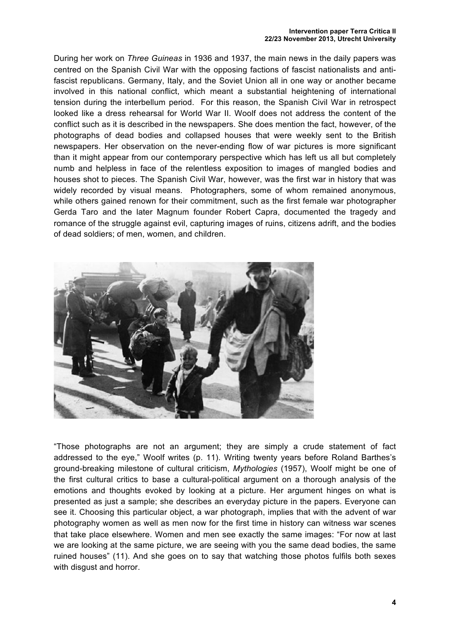During her work on *Three Guineas* in 1936 and 1937, the main news in the daily papers was centred on the Spanish Civil War with the opposing factions of fascist nationalists and antifascist republicans. Germany, Italy, and the Soviet Union all in one way or another became involved in this national conflict, which meant a substantial heightening of international tension during the interbellum period. For this reason, the Spanish Civil War in retrospect looked like a dress rehearsal for World War II. Woolf does not address the content of the conflict such as it is described in the newspapers. She does mention the fact, however, of the photographs of dead bodies and collapsed houses that were weekly sent to the British newspapers. Her observation on the never-ending flow of war pictures is more significant than it might appear from our contemporary perspective which has left us all but completely numb and helpless in face of the relentless exposition to images of mangled bodies and houses shot to pieces. The Spanish Civil War, however, was the first war in history that was widely recorded by visual means. Photographers, some of whom remained anonymous, while others gained renown for their commitment, such as the first female war photographer Gerda Taro and the later Magnum founder Robert Capra, documented the tragedy and romance of the struggle against evil, capturing images of ruins, citizens adrift, and the bodies of dead soldiers; of men, women, and children.



"Those photographs are not an argument; they are simply a crude statement of fact addressed to the eye," Woolf writes (p. 11). Writing twenty years before Roland Barthes's ground-breaking milestone of cultural criticism, *Mythologies* (1957), Woolf might be one of the first cultural critics to base a cultural-political argument on a thorough analysis of the emotions and thoughts evoked by looking at a picture. Her argument hinges on what is presented as just a sample; she describes an everyday picture in the papers. Everyone can see it. Choosing this particular object, a war photograph, implies that with the advent of war photography women as well as men now for the first time in history can witness war scenes that take place elsewhere. Women and men see exactly the same images: "For now at last we are looking at the same picture, we are seeing with you the same dead bodies, the same ruined houses" (11). And she goes on to say that watching those photos fulfils both sexes with disgust and horror.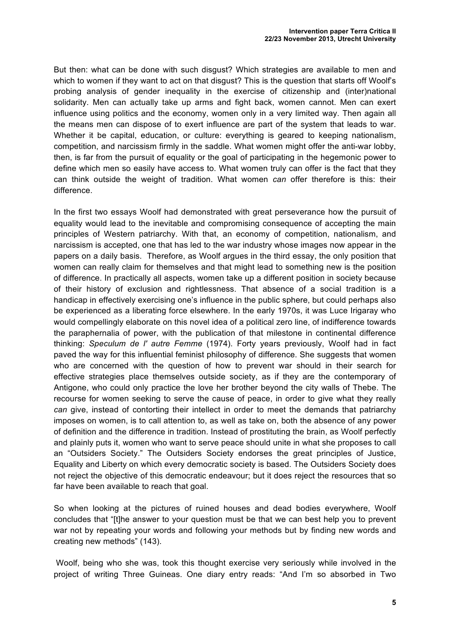But then: what can be done with such disgust? Which strategies are available to men and which to women if they want to act on that disgust? This is the question that starts off Woolf's probing analysis of gender inequality in the exercise of citizenship and (inter)national solidarity. Men can actually take up arms and fight back, women cannot. Men can exert influence using politics and the economy, women only in a very limited way. Then again all the means men can dispose of to exert influence are part of the system that leads to war. Whether it be capital, education, or culture: everything is geared to keeping nationalism, competition, and narcissism firmly in the saddle. What women might offer the anti-war lobby, then, is far from the pursuit of equality or the goal of participating in the hegemonic power to define which men so easily have access to. What women truly can offer is the fact that they can think outside the weight of tradition. What women *can* offer therefore is this: their difference.

In the first two essays Woolf had demonstrated with great perseverance how the pursuit of equality would lead to the inevitable and compromising consequence of accepting the main principles of Western patriarchy. With that, an economy of competition, nationalism, and narcissism is accepted, one that has led to the war industry whose images now appear in the papers on a daily basis. Therefore, as Woolf argues in the third essay, the only position that women can really claim for themselves and that might lead to something new is the position of difference. In practically all aspects, women take up a different position in society because of their history of exclusion and rightlessness. That absence of a social tradition is a handicap in effectively exercising one's influence in the public sphere, but could perhaps also be experienced as a liberating force elsewhere. In the early 1970s, it was Luce Irigaray who would compellingly elaborate on this novel idea of a political zero line, of indifference towards the paraphernalia of power, with the publication of that milestone in continental difference thinking: *Speculum de l' autre Femme* (1974). Forty years previously, Woolf had in fact paved the way for this influential feminist philosophy of difference. She suggests that women who are concerned with the question of how to prevent war should in their search for effective strategies place themselves outside society, as if they are the contemporary of Antigone, who could only practice the love her brother beyond the city walls of Thebe. The recourse for women seeking to serve the cause of peace, in order to give what they really *can* give, instead of contorting their intellect in order to meet the demands that patriarchy imposes on women, is to call attention to, as well as take on, both the absence of any power of definition and the difference in tradition. Instead of prostituting the brain, as Woolf perfectly and plainly puts it, women who want to serve peace should unite in what she proposes to call an "Outsiders Society." The Outsiders Society endorses the great principles of Justice, Equality and Liberty on which every democratic society is based. The Outsiders Society does not reject the objective of this democratic endeavour; but it does reject the resources that so far have been available to reach that goal.

So when looking at the pictures of ruined houses and dead bodies everywhere, Woolf concludes that "[t]he answer to your question must be that we can best help you to prevent war not by repeating your words and following your methods but by finding new words and creating new methods" (143).

Woolf, being who she was, took this thought exercise very seriously while involved in the project of writing Three Guineas. One diary entry reads: "And I'm so absorbed in Two